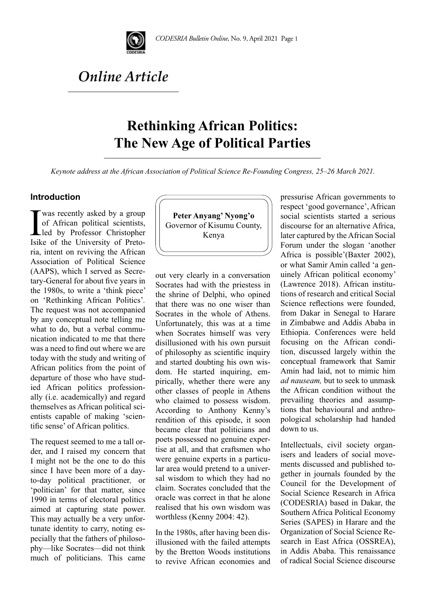

# *Online Article*

# **Rethinking African Politics: The New Age of Political Parties**

*Keynote address at the African Association of Political Science Re-Founding Congress, 25–26 March 2021.*

### **Introduction**

I was recently asked by a group<br>of African political scientists,<br>led by Professor Christopher<br>Isike of the University of Pretoof African political scientists, led by Professor Christopher Isike of the University of Pretoria, intent on reviving the African Association of Political Science (AAPS), which I served as Secretary-General for about five years in the 1980s, to write a 'think piece' on 'Rethinking African Politics'*.*  The request was not accompanied by any conceptual note telling me what to do, but a verbal communication indicated to me that there was a need to find out where we are today with the study and writing of African politics from the point of departure of those who have studied African politics professionally (i.e. academically) and regard themselves as African political scientists capable of making 'scientific sense' of African politics.

The request seemed to me a tall order, and I raised my concern that I might not be the one to do this since I have been more of a dayto-day political practitioner*,* or 'politician' for that matter, since 1990 in terms of electoral politics aimed at capturing state power. This may actually be a very unfortunate identity to carry, noting especially that the fathers of philosophy—like Socrates—did not think much of politicians. This came



out very clearly in a conversation Socrates had with the priestess in the shrine of Delphi, who opined that there was no one wiser than Socrates in the whole of Athens. Unfortunately, this was at a time when Socrates himself was very disillusioned with his own pursuit of philosophy as scientific inquiry and started doubting his own wisdom. He started inquiring, empirically, whether there were any other classes of people in Athens who claimed to possess wisdom. According to Anthony Kenny's rendition of this episode, it soon became clear that politicians and poets possessed no genuine expertise at all, and that craftsmen who were genuine experts in a particular area would pretend to a universal wisdom to which they had no claim. Socrates concluded that the oracle was correct in that he alone realised that his own wisdom was worthless (Kenny 2004: 42).

In the 1980s, after having been disillusioned with the failed attempts by the Bretton Woods institutions to revive African economies and pressurise African governments to respect 'good governance', African social scientists started a serious discourse for an alternative Africa, later captured by the African Social Forum under the slogan 'another Africa is possible'(Baxter 2002), or what Samir Amin called 'a genuinely African political economy' (Lawrence 2018). African institutions of research and critical Social Science reflections were founded, from Dakar in Senegal to Harare in Zimbabwe and Addis Ababa in Ethiopia. Conferences were held focusing on the African condition, discussed largely within the conceptual framework that Samir Amin had laid, not to mimic him *ad nauseam,* but to seek to unmask the African condition without the prevailing theories and assumptions that behavioural and anthropological scholarship had handed down to us.

Intellectuals, civil society organisers and leaders of social movements discussed and published together in journals founded by the Council for the Development of Social Science Research in Africa (CODESRIA) based in Dakar, the Southern Africa Political Economy Series (SAPES) in Harare and the Organization of Social Science Research in East Africa (OSSREA), in Addis Ababa. This renaissance of radical Social Science discourse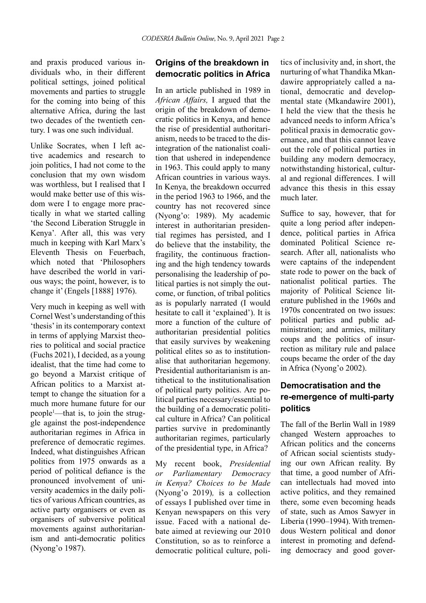and praxis produced various individuals who, in their different political settings, joined political movements and parties to struggle for the coming into being of this alternative Africa, during the last two decades of the twentieth century. I was one such individual.

Unlike Socrates, when I left active academics and research to join politics, I had not come to the conclusion that my own wisdom was worthless, but I realised that I would make better use of this wisdom were I to engage more practically in what we started calling 'the Second Liberation Struggle in Kenya'*.* After all, this was very much in keeping with Karl Marx's Eleventh Thesis on Feuerbach, which noted that 'Philosophers have described the world in various ways; the point, however, is to change it' (Engels [1888] 1976).

Very much in keeping as well with Cornel West's understanding of this 'thesis' in its contemporary context in terms of applying Marxist theories to political and social practice (Fuchs 2021), I decided, as a young idealist, that the time had come to go beyond a Marxist critique of African politics to a Marxist attempt to change the situation for a much more humane future for our people1 —that is, to join the struggle against the post-independence authoritarian regimes in Africa in preference of democratic regimes. Indeed, what distinguishes African politics from 1975 onwards as a period of political defiance is the pronounced involvement of university academics in the daily politics of various African countries, as active party organisers or even as organisers of subversive political movements against authoritarianism and anti-democratic politics (Nyong'o 1987).

## **Origins of the breakdown in democratic politics in Africa**

In an article published in 1989 in *African Affairs,* I argued that the origin of the breakdown of democratic politics in Kenya, and hence the rise of presidential authoritarianism, needs to be traced to the disintegration of the nationalist coalition that ushered in independence in 1963. This could apply to many African countries in various ways. In Kenya, the breakdown occurred in the period 1963 to 1966, and the country has not recovered since (Nyong'o: 1989). My academic interest in authoritarian presidential regimes has persisted, and I do believe that the instability, the fragility, the continuous fractioning and the high tendency towards personalising the leadership of political parties is not simply the outcome, or function, of tribal politics as is popularly narrated (I would hesitate to call it 'explained'). It is more a function of the culture of authoritarian presidential politics that easily survives by weakening political elites so as to institutionalise that authoritarian hegemony. Presidential authoritarianism is antithetical to the institutionalisation of political party politics. Are political parties necessary/essential to the building of a democratic political culture in Africa? Can political parties survive in predominantly authoritarian regimes, particularly of the presidential type, in Africa?

My recent book, *Presidential or Parliamentary Democracy in Kenya? Choices to be Made* (Nyong'o 2019)*,* is a collection of essays I published over time in Kenyan newspapers on this very issue. Faced with a national debate aimed at reviewing our 2010 Constitution, so as to reinforce a democratic political culture, politics of inclusivity and, in short, the nurturing of what Thandika Mkandawire appropriately called a national, democratic and developmental state (Mkandawire 2001), I held the view that the thesis he advanced needs to inform Africa's political praxis in democratic governance, and that this cannot leave out the role of political parties in building any modern democracy, notwithstanding historical, cultural and regional differences. I will advance this thesis in this essay much later.

Suffice to say, however, that for quite a long period after independence, political parties in Africa dominated Political Science research. After all, nationalists who were captains of the independent state rode to power on the back of nationalist political parties. The majority of Political Science literature published in the 1960s and 1970s concentrated on two issues: political parties and public administration; and armies, military coups and the politics of insurrection as military rule and palace coups became the order of the day in Africa (Nyong'o 2002).

## **Democratisation and the re-emergence of multi-party politics**

The fall of the Berlin Wall in 1989 changed Western approaches to African politics and the concerns of African social scientists studying our own African reality. By that time, a good number of African intellectuals had moved into active politics, and they remained there, some even becoming heads of state, such as Amos Sawyer in Liberia (1990–1994). With tremendous Western political and donor interest in promoting and defending democracy and good gover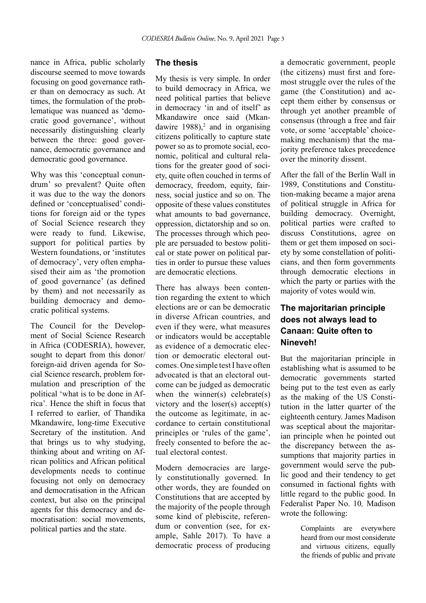nance in Africa, public scholarly discourse seemed to move towards focusing on good governance rather than on democracy as such. At times, the formulation of the problematique was nuanced as 'democratic good governance', without necessarily distinguishing clearly between the three: good governance, democratic governance and democratic good governance.

Why was this 'conceptual conundrum' so prevalent? Quite often it was due to the way the donors defined or 'conceptualised' conditions for foreign aid or the types of Social Science research they were ready to fund. Likewise, support for political parties by Western foundations, or 'institutes of democracy', very often emphasised their aim as 'the promotion of good governance' (as defined by them) and not necessarily as building democracy and democratic political systems.

The Council for the Development of Social Science Research in Africa (CODESRIA), however, sought to depart from this donor/ foreign-aid driven agenda for Social Science research, problem formulation and prescription of the political 'what is to be done in Africa'*.* Hence the shift in focus that I referred to earlier, of Thandika Mkandawire, long-time Executive Secretary of the institution. And that brings us to why studying, thinking about and writing on African politics and African political developments needs to continue focusing not only on democracy and democratisation in the African context, but also on the principal agents for this democracy and democratisation: social movements, political parties and the state.

### **The thesis**

My thesis is very simple. In order to build democracy in Africa, we need political parties that believe in democracy 'in and of itself' as Mkandawire once said (Mkandawire  $1988$ ,<sup>2</sup> and in organising citizens politically to capture state power so as to promote social, economic, political and cultural relations for the greater good of society, quite often couched in terms of democracy, freedom, equity, fairness, social justice and so on. The opposite of these values constitutes what amounts to bad governance, oppression, dictatorship and so on. The processes through which people are persuaded to bestow political or state power on political parties in order to pursue these values are democratic elections*.*

There has always been contention regarding the extent to which elections are or can be democratic in diverse African countries, and even if they were, what measures or indicators would be acceptable as evidence of a democratic election or democratic electoral outcomes. One simple test I have often advocated is that an electoral outcome can be judged as democratic when the winner(s) celebrate(s) victory and the loser(s) accept(s) the outcome as legitimate, in accordance to certain constitutional principles or 'rules of the game', freely consented to before the actual electoral contest.

Modern democracies are largely constitutionally governed. In other words, they are founded on Constitutions that are accepted by the majority of the people through some kind of plebiscite, referendum or convention (see, for example, Sahle 2017). To have a democratic process of producing a democratic government, people (the citizens) must first and foremost struggle over the rules of the game (the Constitution) and accept them either by consensus or through yet another preamble of consensus (through a free and fair vote, or some 'acceptable' choicemaking mechanism) that the majority preference takes precedence over the minority dissent.

After the fall of the Berlin Wall in 1989, Constitutions and Constitution-making became a major arena of political struggle in Africa for building democracy. Overnight, political parties were crafted to discuss Constitutions, agree on them or get them imposed on society by some constellation of politicians, and then form governments through democratic elections in which the party or parties with the majority of votes would win.

## **The majoritarian principle does not always lead to Canaan: Quite often to Nineveh!**

But the majoritarian principle in establishing what is assumed to be democratic governments started being put to the test even as early as the making of the US Constitution in the latter quarter of the eighteenth century. James Madison was sceptical about the majoritarian principle when he pointed out the discrepancy between the assumptions that majority parties in government would serve the public good and their tendency to get consumed in factional fights with little regard to the public good. In Federalist Paper No. 10*,* Madison wrote the following:

> Complaints are everywhere heard from our most considerate and virtuous citizens, equally the friends of public and private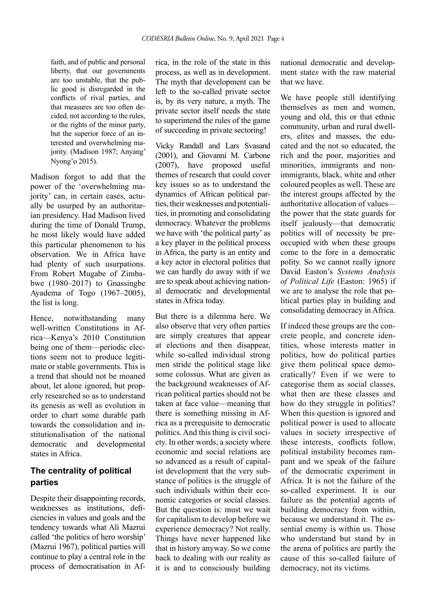faith, and of public and personal liberty, that our governments are too unstable, that the public good is disregarded in the conflicts of rival parties, and that measures are too often decided*,* not according to the rules, or the rights of the minor party, but the superior force of an interested and overwhelming majority. (Madison 1987; Anyang' Nyong'o 2015).

Madison forgot to add that the power of the 'overwhelming majority' can, in certain cases, actually be usurped by an authoritarian presidency. Had Madison lived during the time of Donald Trump, he most likely would have added this particular phenomenon to his observation. We in Africa have had plenty of such usurpations. From Robert Mugabe of Zimbabwe (1980–2017) to Gnassingbe Ayadema of Togo (1967–2005), the list is long.

Hence, notwithstanding many well-written Constitutions in Africa—Kenya's 2010 Constitution being one of them—periodic elections seem not to produce legitimate or stable governments. This is a trend that should not be moaned about, let alone ignored, but properly researched so as to understand its genesis as well as evolution in order to chart some durable path towards the consolidation and institutionalisation of the national democratic and developmental states in Africa.

## **The centrality of political parties**

Despite their disappointing records. weaknesses as institutions, deficiencies in values and goals and the tendency towards what Ali Mazrui called 'the politics of hero worship' (Mazrui 1967), political parties will continue to play a central role in the process of democratisation in Af-

rica, in the role of the state in this process, as well as in development. The myth that development can be left to the so-called private sector is, by its very nature, a myth. The private sector itself needs the state to superintend the rules of the game of succeeding in private sectoring!

Vicky Randall and Lars Svasand (2001), and Giovanni M. Carbone (2007), have proposed useful themes of research that could cover key issues so as to understand the dynamics of African political parties, their weaknesses and potentialities, in promoting and consolidating democracy. Whatever the problems we have with 'the political party' as a key player in the political process in Africa, the party is an entity and a key actor in electoral politics that we can hardly do away with if we are to speak about achieving national democratic and developmental states in Africa today.

But there is a dilemma here. We also observe that very often parties are simply creatures that appear at elections and then disappear, while so-called individual strong men stride the political stage like some colossus. What are given as the background weaknesses of African political parties should not be taken at face value—meaning that there is something missing in Africa as a prerequisite to democratic politics. And this thing is civil society. In other words, a society where economic and social relations are so advanced as a result of capitalist development that the very substance of politics is the struggle of such individuals within their economic categories or social classes. But the question is: must we wait for capitalism to develop before we experience democracy? Not really. Things have never happened like that in history anyway. So we come back to dealing with our reality as it is and to consciously building national democratic and development state*s* with the raw material that we have.

We have people still identifying themselves as men and women, young and old, this or that ethnic community, urban and rural dwellers, elites and masses, the educated and the not so educated, the rich and the poor, majorities and minorities, immigrants and nonimmigrants, black, white and other coloured peoples as well. These are the interest groups affected by the authoritative allocation of values the power that the state guards for itself jealously—that democratic politics will of necessity be preoccupied with when these groups come to the fore in a democratic polity. So we cannot really ignore David Easton's *Systems Analysis of Political Life* (Easton: 1965) if we are to analyse the role that political parties play in building and consolidating democracy in Africa.

If indeed these groups are the concrete people, and concrete identities, whose interests matter in politics, how do political parties give them political space democratically? Even if we were to categorise them as social classes, what then are these classes and how do they struggle in politics? When this question is ignored and political power is used to allocate values in society irrespective of these interests, conflicts follow, political instability becomes rampant and we speak of the failure of the democratic experiment in Africa. It is not the failure of the so-called experiment. It is our failure as the potential agents of building democracy from within, because we understand it. The essential enemy is within us. Those who understand but stand by in the arena of politics are partly the cause of this so-called failure of democracy, not its victims*.*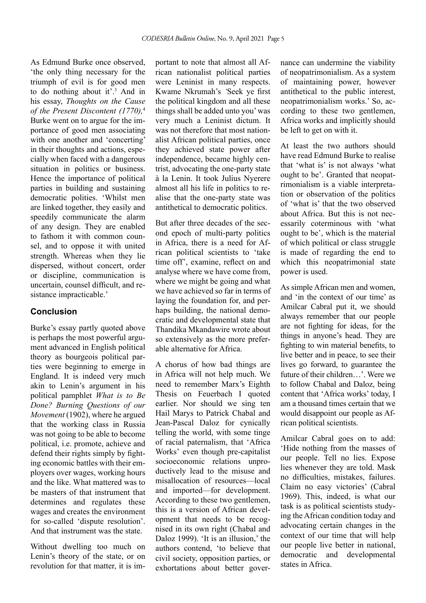As Edmund Burke once observed, 'the only thing necessary for the triumph of evil is for good men to do nothing about it'.3 And in his essay, *Thoughts on the Cause of the Present Discontent (1770),*<sup>4</sup> Burke went on to argue for the importance of good men associating with one another and 'concerting' in their thoughts and actions, especially when faced with a dangerous situation in politics or business. Hence the importance of political parties in building and sustaining democratic polities. 'Whilst men are linked together, they easily and speedily communicate the alarm of any design. They are enabled to fathom it with common counsel, and to oppose it with united strength. Whereas when they lie dispersed, without concert, order or discipline, communication is uncertain, counsel difficult, and resistance impracticable.'

## **Conclusion**

Burke's essay partly quoted above is perhaps the most powerful argument advanced in English political theory as bourgeois political parties were beginning to emerge in England. It is indeed very much akin to Lenin's argument in his political pamphlet *What is to Be Done? Burning Questions of our Movement* (1902), where he argued that the working class in Russia was not going to be able to become political, i.e. promote, achieve and defend their rights simply by fighting economic battles with their employers over wages, working hours and the like. What mattered was to be masters of that instrument that determines and regulates these wages and creates the environment for so-called 'dispute resolution'. And that instrument was the state.

Without dwelling too much on Lenin's theory of the state, or on revolution for that matter, it is im-

portant to note that almost all African nationalist political parties were Leninist in many respects. Kwame Nkrumah's *'*Seek ye first the political kingdom and all these things shall be added unto you' was very much a Leninist dictum. It was not therefore that most nationalist African political parties, once they achieved state power after independence, became highly centrist, advocating the one-party state à la Lenin. It took Julius Nyerere almost all his life in politics to realise that the one-party state was antithetical to democratic politics.

But after three decades of the second epoch of multi-party politics in Africa, there is a need for African political scientists to 'take time off', examine, reflect on and analyse where we have come from, where we might be going and what we have achieved so far in terms of laying the foundation for, and perhaps building, the national democratic and developmental state that Thandika Mkandawire wrote about so extensively as the more preferable alternative for Africa.

A chorus of how bad things are in Africa will not help much. We need to remember Marx's Eighth Thesis on Feuerbach I quoted earlier. Nor should we sing ten Hail Marys to Patrick Chabal and Jean-Pascal Daloz for cynically telling the world, with some tinge of racial paternalism, that 'Africa Works' even though pre-capitalist socioeconomic relations unproductively lead to the misuse and misallocation of resources—local and imported—for development. According to these two gentlemen, this is a version of African development that needs to be recognised in its own right (Chabal and Daloz 1999). 'It is an illusion,' the authors contend, 'to believe that civil society, opposition parties, or exhortations about better governance can undermine the viability of neopatrimonialism. As a system of maintaining power, however antithetical to the public interest, neopatrimonialism works.' So, according to these two gentlemen, Africa works and implicitly should be left to get on with it.

At least the two authors should have read Edmund Burke to realise that 'what is' is not always 'what ought to be'. Granted that neopatrimonialism is a viable interpretation or observation of the politics of 'what is' that the two observed about Africa. But this is not necessarily coterminous with 'what ought to be', which is the material of which political or class struggle is made of regarding the end to which this neopatrimonial state power is used.

As simple African men and women, and 'in the context of our time' as Amilcar Cabral put it, we should always remember that our people are not fighting for ideas, for the things in anyone's head. They are fighting to win material benefits, to live better and in peace, to see their lives go forward, to guarantee the future of their children…'. Were we to follow Chabal and Daloz, being content that 'Africa works' today, I am a thousand times certain that we would disappoint our people as African political scientists.

Amilcar Cabral goes on to add: 'Hide nothing from the masses of our people. Tell no lies. Expose lies whenever they are told. Mask no difficulties, mistakes, failures. Claim no easy victories' (Cabral 1969). This, indeed, is what our task is as political scientists studying the African condition today and advocating certain changes in the context of our time that will help our people live better in national, democratic and developmental states in Africa.